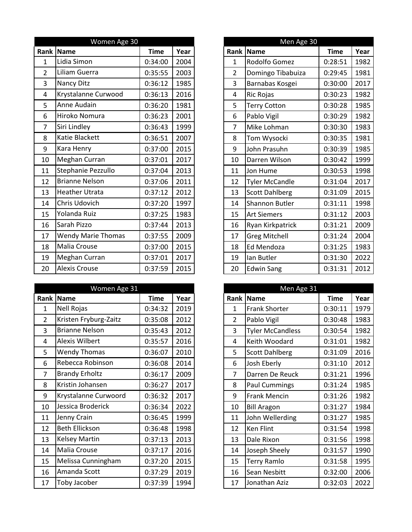|                         | Women Age 30              |             |      |
|-------------------------|---------------------------|-------------|------|
| Rank                    | Name                      | <b>Time</b> | Year |
| $\mathbf{1}$            | Lidia Simon               | 0:34:00     | 2004 |
| $\overline{2}$          | Liliam Guerra             | 0:35:55     | 2003 |
| 3                       | Nancy Ditz                | 0:36:12     | 1985 |
| $\overline{\mathbf{4}}$ | Krystalanne Curwood       | 0:36:13     | 2016 |
| 5                       | Anne Audain               | 0:36:20     | 1981 |
| 6                       | Hiroko Nomura             | 0:36:23     | 2001 |
| $\overline{7}$          | Siri Lindley              | 0:36:43     | 1999 |
| 8                       | Katie Blackett            | 0:36:51     | 2007 |
| 9                       | Kara Henry                | 0:37:00     | 2015 |
| 10                      | Meghan Curran             | 0:37:01     | 2017 |
| 11                      | Stephanie Pezzullo        | 0:37:04     | 2013 |
| 12                      | <b>Brianne Nelson</b>     | 0:37:06     | 2011 |
| 13                      | <b>Heather Utrata</b>     | 0:37:12     | 2012 |
| 14                      | Chris Udovich             | 0:37:20     | 1997 |
| 15                      | Yolanda Ruiz              | 0:37:25     | 1983 |
| 16                      | Sarah Pizzo               | 0:37:44     | 2013 |
| 17                      | <b>Wendy Marie Thomas</b> | 0:37:55     | 2009 |
| 18                      | Malia Crouse              | 0:37:00     | 2015 |
| 19                      | Meghan Curran             | 0:37:01     | 2017 |
| 20                      | <b>Alexis Crouse</b>      | 0:37:59     | 2015 |

|                | Women Age 31          |             |      |                | Men Age 31              |             |      |
|----------------|-----------------------|-------------|------|----------------|-------------------------|-------------|------|
| Rank           | Name                  | <b>Time</b> | Year |                | Rank Name               | <b>Time</b> | Year |
| 1              | Nell Rojas            | 0:34:32     | 2019 | 1              | <b>Frank Shorter</b>    | 0:30:11     | 1979 |
| $\overline{2}$ | Kristen Fryburg-Zaitz | 0:35:08     | 2012 | $\overline{2}$ | Pablo Vigil             | 0:30:48     | 1983 |
| 3              | <b>Brianne Nelson</b> | 0:35:43     | 2012 | 3              | <b>Tyler McCandless</b> | 0:30:54     | 1982 |
| 4              | <b>Alexis Wilbert</b> | 0:35:57     | 2016 | 4              | Keith Woodard           | 0:31:01     | 1982 |
| 5              | Wendy Thomas          | 0:36:07     | 2010 | 5              | <b>Scott Dahlberg</b>   | 0:31:09     | 2016 |
| 6              | Rebecca Robinson      | 0:36:08     | 2014 | 6              | Josh Eberly             | 0:31:10     | 2012 |
| 7              | <b>Brandy Erholtz</b> | 0:36:17     | 2009 | $\overline{7}$ | Darren De Reuck         | 0:31:21     | 1996 |
| 8              | Kristin Johansen      | 0:36:27     | 2017 | 8              | <b>Paul Cummings</b>    | 0:31:24     | 1985 |
| 9              | Krystalanne Curwoord  | 0:36:32     | 2017 | 9              | <b>Frank Mencin</b>     | 0:31:26     | 1982 |
| 10             | Jessica Broderick     | 0:36:34     | 2022 | 10             | <b>Bill Aragon</b>      | 0:31:27     | 1984 |
| 11             | Jenny Crain           | 0:36:45     | 1999 | 11             | John Wellerding         | 0:31:27     | 1985 |
| 12             | <b>Beth Ellickson</b> | 0:36:48     | 1998 | 12             | Ken Flint               | 0:31:54     | 1998 |
| 13             | Kelsey Martin         | 0:37:13     | 2013 | 13             | Dale Rixon              | 0:31:56     | 1998 |
| 14             | Malia Crouse          | 0:37:17     | 2016 | 14             | Joseph Sheely           | 0:31:57     | 1990 |
| 15             | Melissa Cunningham    | 0:37:20     | 2015 | 15             | <b>Terry Ramlo</b>      | 0:31:58     | 1995 |
| 16             | Amanda Scott          | 0:37:29     | 2019 | 16             | Sean Nesbitt            | 0:32:00     | 2006 |
| 17             | Toby Jacober          | 0:37:39     | 1994 | 17             | Jonathan Aziz           | 0:32:03     | 2022 |

|                | Men Age 30            |             |      |
|----------------|-----------------------|-------------|------|
| Rank           | <b>Name</b>           | <b>Time</b> | Year |
| 1              | Rodolfo Gomez         | 0:28:51     | 1982 |
| $\overline{2}$ | Domingo Tibabuiza     | 0:29:45     | 1981 |
| 3              | Barnabas Kosgei       | 0:30:00     | 2017 |
| 4              | Ric Rojas             | 0:30:23     | 1982 |
| 5              | <b>Terry Cotton</b>   | 0:30:28     | 1985 |
| 6              | Pablo Vigil           | 0:30:29     | 1982 |
| 7              | Mike Lohman           | 0:30:30     | 1983 |
| 8              | Tom Wysocki           | 0:30:35     | 1981 |
| 9              | John Prasuhn          | 0:30:39     | 1985 |
| 10             | Darren Wilson         | 0:30:42     | 1999 |
| 11             | Jon Hume              | 0:30:53     | 1998 |
| 12             | <b>Tyler McCandle</b> | 0:31:04     | 2017 |
| 13             | <b>Scott Dahlberg</b> | 0:31:09     | 2015 |
| 14             | <b>Shannon Butler</b> | 0:31:11     | 1998 |
| 15             | <b>Art Siemers</b>    | 0:31:12     | 2003 |
| 16             | Ryan Kirkpatrick      | 0:31:21     | 2009 |
| 17             | <b>Greg Mitchell</b>  | 0:31:24     | 2004 |
| 18             | <b>Ed Mendoza</b>     | 0:31:25     | 1983 |
| 19             | Ian Butler            | 0:31:30     | 2022 |
| 20             | <b>Edwin Sang</b>     | 0:31:31     | 2012 |

|      | Men Age 31              |             |      |
|------|-------------------------|-------------|------|
| Rank | <b>Name</b>             | <b>Time</b> | Year |
| 1    | <b>Frank Shorter</b>    | 0:30:11     | 1979 |
| 2    | Pablo Vigil             | 0:30:48     | 1983 |
| 3    | <b>Tyler McCandless</b> | 0:30:54     | 1982 |
| 4    | Keith Woodard           | 0:31:01     | 1982 |
| 5    | <b>Scott Dahlberg</b>   | 0:31:09     | 2016 |
| 6    | Josh Eberly             | 0:31:10     | 2012 |
| 7    | Darren De Reuck         | 0:31:21     | 1996 |
| 8    | <b>Paul Cummings</b>    | 0:31:24     | 1985 |
| 9    | <b>Frank Mencin</b>     | 0:31:26     | 1982 |
| 10   | <b>Bill Aragon</b>      | 0:31:27     | 1984 |
| 11   | John Wellerding         | 0:31:27     | 1985 |
| 12   | <b>Ken Flint</b>        | 0:31:54     | 1998 |
| 13   | Dale Rixon              | 0:31:56     | 1998 |
| 14   | Joseph Sheely           | 0:31:57     | 1990 |
| 15   | <b>Terry Ramlo</b>      | 0:31:58     | 1995 |
| 16   | Sean Nesbitt            | 0:32:00     | 2006 |
| 17   | Jonathan Aziz           | 0:32:03     | 2022 |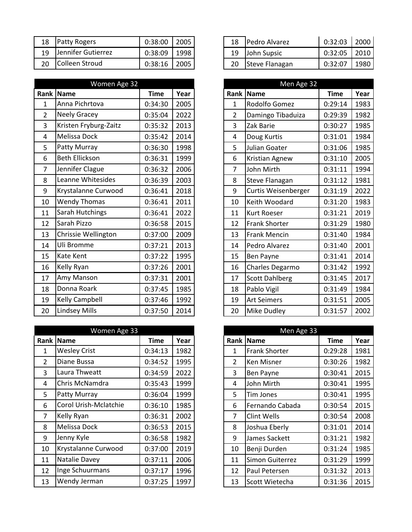| 18 | <b>Patty Rogers</b>    | 0:38:00 | 2005 | 18 | <b>Pedro Alvarez</b> | 0:32:03 | 2000 |
|----|------------------------|---------|------|----|----------------------|---------|------|
| 19 | Jennifer Gutierrez     | 0:38:09 | 1998 | 19 | John Supsic          | 0:32:05 | 2010 |
| 20 | <b>IColleen Stroud</b> | 0:38:16 | 2005 | 20 | Steve Flanagan       | 0:32:07 | 1980 |

|                | Women Age 32          |             |      |
|----------------|-----------------------|-------------|------|
|                | Rank   Name           | <b>Time</b> | Year |
| $\mathbf{1}$   | Anna Pichrtova        | 0:34:30     | 2005 |
| $\overline{2}$ | <b>Neely Gracey</b>   | 0:35:04     | 2022 |
| $\overline{3}$ | Kristen Fryburg-Zaitz | 0:35:32     | 2013 |
| $\overline{4}$ | Melissa Dock          | 0:35:42     | 2014 |
| 5              | Patty Murray          | 0:36:30     | 1998 |
| 6              | <b>Beth Ellickson</b> | 0:36:31     | 1999 |
| $\overline{7}$ | Jennifer Clague       | 0:36:32     | 2006 |
| 8              | Leanne Whitesides     | 0:36:39     | 2003 |
| 9              | Krystalanne Curwood   | 0:36:41     | 2018 |
| 10             | Wendy Thomas          | 0:36:41     | 2011 |
| 11             | Sarah Hutchings       | 0:36:41     | 2022 |
| 12             | Sarah Pizzo           | 0:36:58     | 2015 |
| 13             | Chrissie Wellington   | 0:37:00     | 2009 |
| 14             | Uli Bromme            | 0:37:21     | 2013 |
| 15             | Kate Kent             | 0:37:22     | 1995 |
| 16             | Kelly Ryan            | 0:37:26     | 2001 |
| 17             | Amy Manson            | 0:37:31     | 2001 |
| 18             | Donna Roark           | 0:37:45     | 1985 |
| 19             | Kelly Campbell        | 0:37:46     | 1992 |
| 20             | <b>Lindsey Mills</b>  | 0:37:50     | 2014 |

|                | Women Age 33          |             |      |                | Men Age 33           |             |      |
|----------------|-----------------------|-------------|------|----------------|----------------------|-------------|------|
| Rank           | Name                  | <b>Time</b> | Year |                | <b>Rank Name</b>     | <b>Time</b> | Year |
| 1              | <b>Wesley Crist</b>   | 0:34:13     | 1982 | 1              | <b>Frank Shorter</b> | 0:29:28     | 1981 |
| $\overline{2}$ | Diane Bussa           | 0:34:52     | 1995 | $\overline{2}$ | Ken Misner           | 0:30:26     | 1982 |
| 3              | Laura Thweatt         | 0:34:59     | 2022 | 3              | Ben Payne            | 0:30:41     | 2015 |
| 4              | Chris McNamdra        | 0:35:43     | 1999 | 4              | John Mirth           | 0:30:41     | 1995 |
| 5              | <b>Patty Murray</b>   | 0:36:04     | 1999 | 5              | Tim Jones            | 0:30:41     | 1995 |
| 6              | Corol Urish-Mclatchie | 0:36:10     | 1985 | 6              | Fernando Cabada      | 0:30:54     | 2015 |
| $\overline{7}$ | Kelly Ryan            | 0:36:31     | 2002 | 7              | Clint Wells          | 0:30:54     | 2008 |
| 8              | Melissa Dock          | 0:36:53     | 2015 | 8              | Joshua Eberly        | 0:31:01     | 2014 |
| 9              | Jenny Kyle            | 0:36:58     | 1982 | 9              | James Sackett        | 0:31:21     | 1982 |
| 10             | Krystalanne Curwood   | 0:37:00     | 2019 | 10             | Benji Durden         | 0:31:24     | 1985 |
| 11             | Natalie Davey         | 0:37:11     | 2006 | 11             | Simon Guiterrez      | 0:31:29     | 1999 |
| 12             | Inge Schuurmans       | 0:37:17     | 1996 | 12             | Paul Petersen        | 0:31:32     | 2013 |
| 13             | Wendy Jerman          | 0:37:25     | 1997 | 13             | Scott Wietecha       | 0:31:36     | 2015 |

|    | 18 Pedro Alvarez | $0:32:03$   2000 |  |
|----|------------------|------------------|--|
| 19 | John Supsic      | $0:32:05$   2010 |  |
| 20 | Steve Flanagan   | 0:32:07          |  |

|                | Men Age 32            |             |      |
|----------------|-----------------------|-------------|------|
| Rank           | <b>Name</b>           | <b>Time</b> | Year |
| 1              | Rodolfo Gomez         | 0:29:14     | 1983 |
| $\overline{2}$ | Damingo Tibaduiza     | 0:29:39     | 1982 |
| 3              | Zak Barie             | 0:30:27     | 1985 |
| 4              | Doug Kurtis           | 0:31:01     | 1984 |
| 5              | Julian Goater         | 0:31:06     | 1985 |
| 6              | Kristian Agnew        | 0:31:10     | 2005 |
| 7              | <b>John Mirth</b>     | 0:31:11     | 1994 |
| 8              | <b>Steve Flanagan</b> | 0:31:12     | 1981 |
| 9              | Curtis Weisenberger   | 0:31:19     | 2022 |
| 10             | Keith Woodard         | 0:31:20     | 1983 |
| 11             | <b>Kurt Roeser</b>    | 0:31:21     | 2019 |
| 12             | <b>Frank Shorter</b>  | 0:31:29     | 1980 |
| 13             | <b>Frank Mencin</b>   | 0:31:40     | 1984 |
| 14             | Pedro Alvarez         | 0:31:40     | 2001 |
| 15             | Ben Payne             | 0:31:41     | 2014 |
| 16             | Charles Degarmo       | 0:31:42     | 1992 |
| 17             | <b>Scott Dahlberg</b> | 0:31:45     | 2017 |
| 18             | Pablo Vigil           | 0:31:49     | 1984 |
| 19             | <b>Art Seimers</b>    | 0:31:51     | 2005 |
| 20             | Mike Dudley           | 0:31:57     | 2002 |

|                | Men Age 33             |         |      |
|----------------|------------------------|---------|------|
| Rank           | <b>Name</b>            | Time    | Year |
| 1              | <b>Frank Shorter</b>   | 0:29:28 | 1981 |
| $\overline{2}$ | Ken Misner             | 0:30:26 | 1982 |
| 3              | Ben Payne              | 0:30:41 | 2015 |
| 4              | John Mirth             | 0:30:41 | 1995 |
| 5              | Tim Jones              | 0:30:41 | 1995 |
| 6              | Fernando Cabada        | 0:30:54 | 2015 |
| 7              | Clint Wells            | 0:30:54 | 2008 |
| 8              | Joshua Eberly          | 0:31:01 | 2014 |
| 9              | James Sackett          | 0:31:21 | 1982 |
| 10             | Benji Durden           | 0:31:24 | 1985 |
| 11             | <b>Simon Guiterrez</b> | 0:31:29 | 1999 |
| 12             | Paul Petersen          | 0:31:32 | 2013 |
| 13             | Scott Wietecha         | 0:31:36 | 2015 |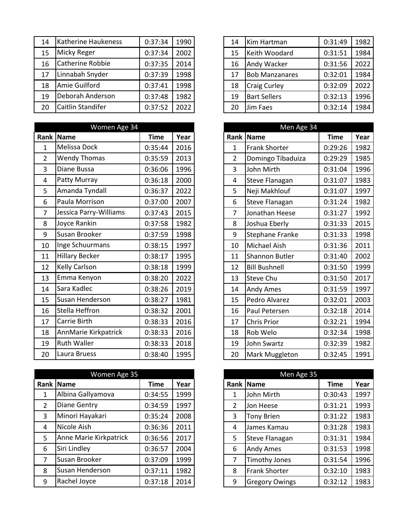| 14 | Katherine Haukeness | 0:37:34 | 1990 | 14 | Kim Hartman           | 0:31:49 | 1982 |
|----|---------------------|---------|------|----|-----------------------|---------|------|
| 15 | <b>Micky Reger</b>  | 0:37:34 | 2002 | 15 | Keith Woodard         | 0:31:51 | 1984 |
| 16 | Catherine Robbie    | 0:37:35 | 2014 | 16 | Andy Wacker           | 0:31:56 | 2022 |
| 17 | Linnabah Snyder     | 0:37:39 | 1998 | 17 | <b>Bob Manzanares</b> | 0:32:01 | 1984 |
| 18 | Amie Guilford       | 0:37:41 | 1998 | 18 | <b>Craig Curley</b>   | 0:32:09 | 2022 |
| 19 | Deborah Anderson    | 0:37:48 | 1982 | 19 | <b>Bart Sellers</b>   | 0:32:13 | 1996 |
| 20 | Caitlin Standifer   | 0:37:52 | 2022 | 20 | Jim Faes              | 0:32:14 | 1984 |
|    |                     |         |      |    |                       |         |      |

 $\overline{\phantom{a}}$ 

|                | Women Age 34           |             |      |
|----------------|------------------------|-------------|------|
| Rank           | Name                   | <b>Time</b> | Year |
| $\mathbf{1}$   | Melissa Dock           | 0:35:44     | 2016 |
| $\overline{2}$ | <b>Wendy Thomas</b>    | 0:35:59     | 2013 |
| 3              | Diane Bussa            | 0:36:06     | 1996 |
| 4              | Patty Murray           | 0:36:18     | 2000 |
| 5              | Amanda Tyndall         | 0:36:37     | 2022 |
| 6              | Paula Morrison         | 0:37:00     | 2007 |
| $\overline{7}$ | Jessica Parry-Williams | 0:37:43     | 2015 |
| 8              | Joyce Rankin           | 0:37:58     | 1982 |
| 9              | Susan Brooker          | 0:37:59     | 1998 |
| 10             | Inge Schuurmans        | 0:38:15     | 1997 |
| 11             | <b>Hillary Becker</b>  | 0:38:17     | 1995 |
| 12             | Kelly Carlson          | 0:38:18     | 1999 |
| 13             | Emma Kenyon            | 0:38:20     | 2022 |
| 14             | Sara Kadlec            | 0:38:26     | 2019 |
| 15             | Susan Henderson        | 0:38:27     | 1981 |
| 16             | Stella Heffron         | 0:38:32     | 2001 |
| 17             | Carrie Birth           | 0:38:33     | 2016 |
| 18             | AnnMarie Kirkpatrick   | 0:38:33     | 2016 |
| 19             | <b>Ruth Waller</b>     | 0:38:33     | 2018 |
| 20             | Laura Bruess           | 0:38:40     | 1995 |

|                | Women Age 35           |             |      |   | Men Age 35            |             |      |
|----------------|------------------------|-------------|------|---|-----------------------|-------------|------|
|                | Rank Name              | <b>Time</b> | Year |   | Rank Name             | <b>Time</b> | Year |
| 1              | Albina Gallyamova      | 0:34:55     | 1999 | 1 | John Mirth            | 0:30:43     | 1997 |
| $\overline{2}$ | <b>Diane Gentry</b>    | 0:34:59     | 1997 | 2 | Jon Heese             | 0:31:21     | 1993 |
| 3              | Minori Hayakari        | 0:35:24     | 2008 | 3 | <b>Tony Brien</b>     | 0:31:22     | 1983 |
| 4              | Nicole Aish            | 0:36:36     | 2011 | 4 | James Kamau           | 0:31:28     | 1983 |
| 5              | Anne Marie Kirkpatrick | 0:36:56     | 2017 | 5 | <b>Steve Flanagan</b> | 0:31:31     | 1984 |
| 6              | Siri Lindley           | 0:36:57     | 2004 | 6 | <b>Andy Ames</b>      | 0:31:53     | 1998 |
| 7              | Susan Brooker          | 0:37:09     | 1999 | 7 | <b>Timothy Jones</b>  | 0:31:54     | 1996 |
| 8              | Susan Henderson        | 0:37:11     | 1982 | 8 | Frank Shorter         | 0:32:10     | 1983 |
| 9              | Rachel Joyce           | 0:37:18     | 2014 | 9 | <b>Gregory Owings</b> | 0:32:12     | 1983 |

| 14 | Kim Hartman           | 0:31:49 | 1982 |
|----|-----------------------|---------|------|
| 15 | Keith Woodard         | 0:31:51 | 1984 |
| 16 | Andy Wacker           | 0:31:56 | 2022 |
| 17 | <b>Bob Manzanares</b> | 0:32:01 | 1984 |
| 18 | <b>Craig Curley</b>   | 0:32:09 | 2022 |
| 19 | <b>Bart Sellers</b>   | 0:32:13 | 1996 |
| 20 | Jim Faes              | 0:32:14 | 1984 |

|                | Men Age 34            |             |      |
|----------------|-----------------------|-------------|------|
| Rank           | <b>Name</b>           | <b>Time</b> | Year |
| 1              | <b>Frank Shorter</b>  | 0:29:26     | 1982 |
| $\overline{2}$ | Domingo Tibaduiza     | 0:29:29     | 1985 |
| 3              | John Mirth            | 0:31:04     | 1996 |
| 4              | Steve Flanagan        | 0:31:07     | 1983 |
| 5              | Neji Makhlouf         | 0:31:07     | 1997 |
| 6              | Steve Flanagan        | 0:31:24     | 1982 |
| 7              | Jonathan Heese        | 0:31:27     | 1992 |
| 8              | Joshua Eberly         | 0:31:33     | 2015 |
| 9              | Stephane Franke       | 0:31:33     | 1998 |
| 10             | Michael Aish          | 0:31:36     | 2011 |
| 11             | <b>Shannon Butler</b> | 0:31:40     | 2002 |
| 12             | <b>Bill Bushnell</b>  | 0:31:50     | 1999 |
| 13             | <b>Steve Chu</b>      | 0:31:50     | 2017 |
| 14             | Andy Ames             | 0:31:59     | 1997 |
| 15             | Pedro Alvarez         | 0:32:01     | 2003 |
| 16             | Paul Petersen         | 0:32:18     | 2014 |
| 17             | <b>Chris Prior</b>    | 0:32:21     | 1994 |
| 18             | Rob Welo              | 0:32:34     | 1998 |
| 19             | <b>John Swartz</b>    | 0:32:39     | 1982 |
| 20             | Mark Muggleton        | 0:32:45     | 1991 |

|                | Men Age 35            |             |      |
|----------------|-----------------------|-------------|------|
| Rank I         | <b>Name</b>           | <b>Time</b> | Year |
| 1              | John Mirth            | 0:30:43     | 1997 |
| $\overline{2}$ | Jon Heese             | 0:31:21     | 1993 |
| 3              | <b>Tony Brien</b>     | 0:31:22     | 1983 |
| 4              | James Kamau           | 0:31:28     | 1983 |
| 5              | <b>Steve Flanagan</b> | 0:31:31     | 1984 |
| 6              | Andy Ames             | 0:31:53     | 1998 |
| 7              | <b>Timothy Jones</b>  | 0:31:54     | 1996 |
| 8              | <b>Frank Shorter</b>  | 0:32:10     | 1983 |
| 9              | <b>Gregory Owings</b> | 0:32:12     | 1983 |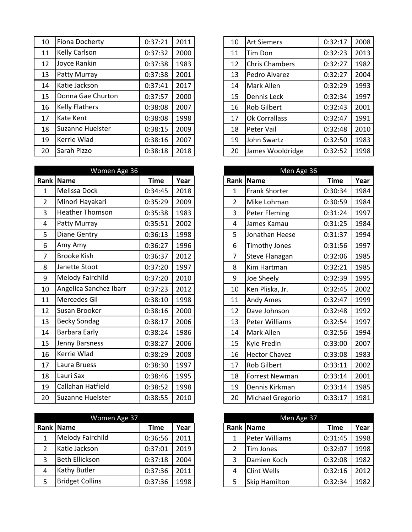| 10 | Fiona Docherty          | 0:37:21 | 2011 | 10 | <b>Art Siemers</b>    | 0:32:17 | 2008 |
|----|-------------------------|---------|------|----|-----------------------|---------|------|
| 11 | <b>Kelly Carlson</b>    | 0:37:32 | 2000 | 11 | Tim Don               | 0:32:23 | 2013 |
| 12 | Joyce Rankin            | 0:37:38 | 1983 | 12 | <b>Chris Chambers</b> | 0:32:27 | 1982 |
| 13 | <b>Patty Murray</b>     | 0:37:38 | 2001 | 13 | Pedro Alvarez         | 0:32:27 | 2004 |
| 14 | Katie Jackson           | 0:37:41 | 2017 | 14 | Mark Allen            | 0:32:29 | 1993 |
| 15 | Donna Gae Churton       | 0:37:57 | 2000 | 15 | <b>Dennis Leck</b>    | 0:32:34 | 1997 |
| 16 | <b>Kelly Flathers</b>   | 0:38:08 | 2007 | 16 | <b>Rob Gilbert</b>    | 0:32:43 | 2001 |
| 17 | Kate Kent               | 0:38:08 | 1998 | 17 | Ok Corrallass         | 0:32:47 | 1991 |
| 18 | <b>Suzanne Huelster</b> | 0:38:15 | 2009 | 18 | Peter Vail            | 0:32:48 | 2010 |
| 19 | Kerrie Wlad             | 0:38:16 | 2007 | 19 | John Swartz           | 0:32:50 | 1983 |
| 20 | Sarah Pizzo             | 0:38:18 | 2018 | 20 | James Wooldridge      | 0:32:52 | 1998 |
|    |                         |         |      |    |                       |         |      |

| Women Age 36   |                         |             |      |                | Men Age 36           |             |      |
|----------------|-------------------------|-------------|------|----------------|----------------------|-------------|------|
| Rank           | <b>Name</b>             | <b>Time</b> | Year | Rank           | <b>Name</b>          | <b>Time</b> | Year |
| $\mathbf 1$    | Melissa Dock            | 0:34:45     | 2018 | 1              | <b>Frank Shorter</b> | 0:30:34     | 1984 |
| $\overline{2}$ | Minori Hayakari         | 0:35:29     | 2009 | $\overline{2}$ | Mike Lohman          | 0:30:59     | 1984 |
| 3              | Heather Thomson         | 0:35:38     | 1983 | 3              | Peter Fleming        | 0:31:24     | 1997 |
| 4              | Patty Murray            | 0:35:51     | 2002 | 4              | James Kamau          | 0:31:25     | 1984 |
| 5              | Diane Gentry            | 0:36:13     | 1998 | 5              | Jonathan Heese       | 0:31:37     | 1994 |
| 6              | Amy Amy                 | 0:36:27     | 1996 | 6              | <b>Timothy Jones</b> | 0:31:56     | 1997 |
| $\overline{7}$ | <b>Brooke Kish</b>      | 0:36:37     | 2012 | $\overline{7}$ | Steve Flanagan       | 0:32:06     | 1985 |
| 8              | Janette Stoot           | 0:37:20     | 1997 | 8              | Kim Hartman          | 0:32:21     | 1985 |
| 9              | Melody Fairchild        | 0:37:20     | 2010 | 9              | Joe Sheely           | 0:32:39     | 1995 |
| 10             | Angelica Sanchez Ibarr  | 0:37:23     | 2012 | 10             | Ken Pliska, Jr.      | 0:32:45     | 2002 |
| 11             | Mercedes Gil            | 0:38:10     | 1998 | 11             | Andy Ames            | 0:32:47     | 1999 |
| 12             | Susan Brooker           | 0:38:16     | 2000 | 12             | Dave Johnson         | 0:32:48     | 1992 |
| 13             | <b>Becky Sondag</b>     | 0:38:17     | 2006 | 13             | Peter Williams       | 0:32:54     | 1997 |
| 14             | Barbara Early           | 0:38:24     | 1986 | 14             | Mark Allen           | 0:32:56     | 1994 |
| 15             | Jenny Barsness          | 0:38:27     | 2006 | 15             | Kyle Fredin          | 0:33:00     | 2007 |
| 16             | Kerrie Wlad             | 0:38:29     | 2008 | 16             | <b>Hector Chavez</b> | 0:33:08     | 1983 |
| 17             | Laura Bruess            | 0:38:30     | 1997 | 17             | <b>Rob Gilbert</b>   | 0:33:11     | 2002 |
| 18             | Lauri Sax               | 0:38:46     | 1995 | 18             | Forrest Newman       | 0:33:14     | 2001 |
| 19             | Callahan Hatfield       | 0:38:52     | 1998 | 19             | Dennis Kirkman       | 0:33:14     | 1985 |
| 20             | <b>Suzanne Huelster</b> | 0:38:55     | 2010 | 20             | Michael Gregorio     | 0:33:17     | 1981 |

|   | Women Age 37           |         |      |   | Men Age 37           |             |
|---|------------------------|---------|------|---|----------------------|-------------|
|   | Rank Name              | Time    | Year |   | Rank Name            | <b>Time</b> |
|   | Melody Fairchild       | 0:36:56 | 2011 |   | Peter Williams       | 0:31:45     |
| 2 | Katie Jackson          | 0:37:01 | 2019 |   | <b>Tim Jones</b>     | 0:32:07     |
| 3 | <b>Beth Ellickson</b>  | 0:37:18 | 2004 | 3 | Damien Koch          | 0:32:08     |
| 4 | Kathy Butler           | 0:37:36 | 2011 | 4 | <b>Clint Wells</b>   | 0:32:16     |
|   | <b>Bridget Collins</b> | 0:37:36 | 1998 | 5 | <b>Skip Hamilton</b> | 0:32:34     |

| 10 | <b>Art Siemers</b>    | 0:32:17 | 2008 |
|----|-----------------------|---------|------|
| 11 | Tim Don               | 0:32:23 | 2013 |
| 12 | <b>Chris Chambers</b> | 0:32:27 | 1982 |
| 13 | Pedro Alvarez         | 0:32:27 | 2004 |
| 14 | Mark Allen            | 0:32:29 | 1993 |
| 15 | <b>Dennis Leck</b>    | 0:32:34 | 1997 |
| 16 | <b>Rob Gilbert</b>    | 0:32:43 | 2001 |
| 17 | Ok Corrallass         | 0:32:47 | 1991 |
| 18 | Peter Vail            | 0:32:48 | 2010 |
| 19 | John Swartz           | 0:32:50 | 1983 |
| 20 | James Wooldridge      | 0:32:52 | 1998 |

|                | Men Age 36            |             |      |
|----------------|-----------------------|-------------|------|
| Rank           | <b>Name</b>           | <b>Time</b> | Year |
| $\mathbf{1}$   | <b>Frank Shorter</b>  | 0:30:34     | 1984 |
| $\overline{2}$ | Mike Lohman           | 0:30:59     | 1984 |
| 3              | <b>Peter Fleming</b>  | 0:31:24     | 1997 |
| 4              | James Kamau           | 0:31:25     | 1984 |
| 5              | Jonathan Heese        | 0:31:37     | 1994 |
| 6              | Timothy Jones         | 0:31:56     | 1997 |
| 7              | Steve Flanagan        | 0:32:06     | 1985 |
| 8              | Kim Hartman           | 0:32:21     | 1985 |
| 9              | Joe Sheely            | 0:32:39     | 1995 |
| 10             | Ken Pliska, Jr.       | 0:32:45     | 2002 |
| 11             | Andy Ames             | 0:32:47     | 1999 |
| 12             | Dave Johnson          | 0:32:48     | 1992 |
| 13             | <b>Peter Williams</b> | 0:32:54     | 1997 |
| 14             | Mark Allen            | 0:32:56     | 1994 |
| 15             | Kyle Fredin           | 0:33:00     | 2007 |
| 16             | <b>Hector Chavez</b>  | 0:33:08     | 1983 |
| 17             | <b>Rob Gilbert</b>    | 0:33:11     | 2002 |
| 18             | <b>Forrest Newman</b> | 0:33:14     | 2001 |
| 19             | Dennis Kirkman        | 0:33:14     | 1985 |
| 20             | Michael Gregorio      | 0:33:17     | 1981 |

|   | Men Age 37            |             |      |
|---|-----------------------|-------------|------|
|   | Rank Name             | <b>Time</b> | Year |
| 1 | <b>Peter Williams</b> | 0:31:45     | 1998 |
| 2 | Tim Jones             | 0:32:07     | 1998 |
| 3 | Damien Koch           | 0:32:08     | 1982 |
| 4 | <b>Clint Wells</b>    | 0:32:16     | 2012 |
| 5 | <b>Skip Hamilton</b>  | 0:32:34     | 1982 |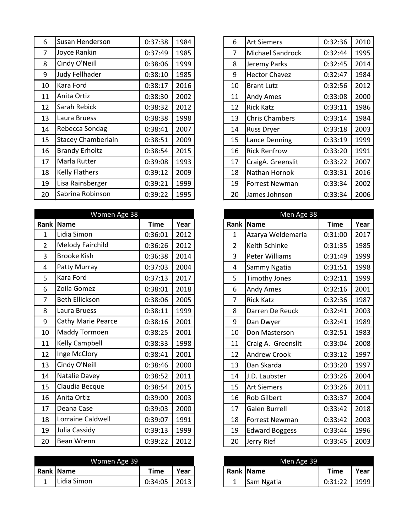| 6              | Susan Henderson           | 0:37:38 | 1984 | 6  | <b>Art Siemers</b>      | 0:32:36 | 2010 |
|----------------|---------------------------|---------|------|----|-------------------------|---------|------|
| $\overline{7}$ | Joyce Rankin              | 0:37:49 | 1985 | 7  | <b>Michael Sandrock</b> | 0:32:44 | 1995 |
| 8              | Cindy O'Neill             | 0:38:06 | 1999 | 8  | Jeremy Parks            | 0:32:45 | 2014 |
| 9              | Judy Fellhader            | 0:38:10 | 1985 | 9  | <b>Hector Chavez</b>    | 0:32:47 | 1984 |
| 10             | Kara Ford                 | 0:38:17 | 2016 | 10 | <b>Brant Lutz</b>       | 0:32:56 | 2012 |
| 11             | Anita Ortiz               | 0:38:30 | 2002 | 11 | Andy Ames               | 0:33:08 | 2000 |
| 12             | Sarah Rebick              | 0:38:32 | 2012 | 12 | <b>Rick Katz</b>        | 0:33:11 | 1986 |
| 13             | Laura Bruess              | 0:38:38 | 1998 | 13 | <b>Chris Chambers</b>   | 0:33:14 | 1984 |
| 14             | Rebecca Sondag            | 0:38:41 | 2007 | 14 | <b>Russ Dryer</b>       | 0:33:18 | 2003 |
| 15             | <b>Stacey Chamberlain</b> | 0:38:51 | 2009 | 15 | Lance Denning           | 0:33:19 | 1999 |
| 16             | <b>Brandy Erholtz</b>     | 0:38:54 | 2015 | 16 | <b>Rick Renfrow</b>     | 0:33:20 | 1991 |
| 17             | Marla Rutter              | 0:39:08 | 1993 | 17 | CraigA. Greenslit       | 0:33:22 | 2007 |
| 18             | <b>Kelly Flathers</b>     | 0:39:12 | 2009 | 18 | Nathan Hornok           | 0:33:31 | 2016 |
| 19             | Lisa Rainsberger          | 0:39:21 | 1999 | 19 | <b>Forrest Newman</b>   | 0:33:34 | 2002 |
| 20             | Sabrina Robinson          | 0:39:22 | 1995 | 20 | James Johnson           | 0:33:34 | 2006 |

|                | Women Age 38              |             |      |                | Men Age 38            |             |  |
|----------------|---------------------------|-------------|------|----------------|-----------------------|-------------|--|
| Rank           | <b>Name</b>               | <b>Time</b> | Year | Rank           | <b>Name</b>           | <b>Time</b> |  |
| $\mathbf 1$    | Lidia Simon               | 0:36:01     | 2012 | $\mathbf{1}$   | Azarya Weldemaria     | 0:31:00     |  |
| $\overline{2}$ | Melody Fairchild          | 0:36:26     | 2012 | $\overline{2}$ | Keith Schinke         | 0:31:35     |  |
| 3              | <b>Brooke Kish</b>        | 0:36:38     | 2014 | 3              | Peter Williams        | 0:31:49     |  |
| 4              | Patty Murray              | 0:37:03     | 2004 | 4              | Sammy Ngatia          | 0:31:51     |  |
| 5              | Kara Ford                 | 0:37:13     | 2017 | 5              | <b>Timothy Jones</b>  | 0:32:11     |  |
| 6              | Zoila Gomez               | 0:38:01     | 2018 | 6              | Andy Ames             | 0:32:16     |  |
| $\overline{7}$ | <b>Beth Ellickson</b>     | 0:38:06     | 2005 | 7              | <b>Rick Katz</b>      | 0:32:36     |  |
| 8              | Laura Bruess              | 0:38:11     | 1999 | 8              | Darren De Reuck       | 0:32:41     |  |
| 9              | <b>Cathy Marie Pearce</b> | 0:38:16     | 2001 | 9              | Dan Dwyer             | 0:32:41     |  |
| 10             | Maddy Tormoen             | 0:38:25     | 2001 | 10             | Don Masterson         | 0:32:51     |  |
| 11             | Kelly Campbell            | 0:38:33     | 1998 | 11             | Craig A. Greenslit    | 0:33:04     |  |
| 12             | Inge McClory              | 0:38:41     | 2001 | 12             | <b>Andrew Crook</b>   | 0:33:12     |  |
| 13             | Cindy O'Neill             | 0:38:46     | 2000 | 13             | Dan Skarda            | 0:33:20     |  |
| 14             | Natalie Davey             | 0:38:52     | 2011 | 14             | J.D. Laubster         | 0:33:26     |  |
| 15             | Claudia Becque            | 0:38:54     | 2015 | 15             | <b>Art Siemers</b>    | 0:33:26     |  |
| 16             | Anita Ortiz               | 0:39:00     | 2003 | 16             | Rob Gilbert           | 0:33:37     |  |
| 17             | Deana Case                | 0:39:03     | 2000 | 17             | Galen Burrell         | 0:33:42     |  |
| 18             | Lorraine Caldwell         | 0:39:07     | 1991 | 18             | <b>Forrest Newman</b> | 0:33:42     |  |
| 19             | Julia Cassidy             | 0:39:13     | 1999 | 19             | <b>Edward Boggess</b> | 0:33:44     |  |
| 20             | Bean Wrenn                | 0:39:22     | 2012 | 20             | Jerry Rief            | 0:33:45     |  |

| Women Age 39 |             |         |             |  | Men Age 39        |         |      |
|--------------|-------------|---------|-------------|--|-------------------|---------|------|
|              | Rank Name   | Time    | <b>Year</b> |  | <b>Rank Name</b>  | Time    | Year |
|              | Lidia Simon | 0:34:05 | 2013        |  | <b>Sam Ngatia</b> | 0:31:22 | 1999 |

| 4              | 6  | <b>Art Siemers</b>    | 0:32:36 | 2010 |
|----------------|----|-----------------------|---------|------|
| 5              | 7  | Michael Sandrock      | 0:32:44 | 1995 |
| 9              | 8  | Jeremy Parks          | 0:32:45 | 2014 |
| 5              | 9  | <b>Hector Chavez</b>  | 0:32:47 | 1984 |
| 6              | 10 | <b>Brant Lutz</b>     | 0:32:56 | 2012 |
| 2              | 11 | <b>Andy Ames</b>      | 0:33:08 | 2000 |
| $\overline{2}$ | 12 | <b>Rick Katz</b>      | 0:33:11 | 1986 |
| 8              | 13 | <b>Chris Chambers</b> | 0:33:14 | 1984 |
| $\overline{1}$ | 14 | <b>Russ Dryer</b>     | 0:33:18 | 2003 |
| 9              | 15 | Lance Denning         | 0:33:19 | 1999 |
| 5              | 16 | <b>Rick Renfrow</b>   | 0:33:20 | 1991 |
| 3              | 17 | CraigA. Greenslit     | 0:33:22 | 2007 |
| 9              | 18 | Nathan Hornok         | 0:33:31 | 2016 |
| 9              | 19 | <b>Forrest Newman</b> | 0:33:34 | 2002 |
| 5              | 20 | James Johnson         | 0:33:34 | 2006 |

| Men Age 38     |                       |             |      |  |  |  |  |  |
|----------------|-----------------------|-------------|------|--|--|--|--|--|
| Rank           | <b>Name</b>           | <b>Time</b> | Year |  |  |  |  |  |
| 1              | Azarya Weldemaria     | 0:31:00     | 2017 |  |  |  |  |  |
| $\overline{2}$ | Keith Schinke         | 0:31:35     | 1985 |  |  |  |  |  |
| 3              | <b>Peter Williams</b> | 0:31:49     | 1999 |  |  |  |  |  |
| 4              | Sammy Ngatia          | 0:31:51     | 1998 |  |  |  |  |  |
| 5              | <b>Timothy Jones</b>  | 0:32:11     | 1999 |  |  |  |  |  |
| 6              | Andy Ames             | 0:32:16     | 2001 |  |  |  |  |  |
| 7              | <b>Rick Katz</b>      | 0:32:36     | 1987 |  |  |  |  |  |
| 8              | Darren De Reuck       | 0:32:41     | 2003 |  |  |  |  |  |
| 9              | Dan Dwyer             | 0:32:41     | 1989 |  |  |  |  |  |
| 10             | Don Masterson         | 0:32:51     | 1983 |  |  |  |  |  |
| 11             | Craig A. Greenslit    | 0:33:04     | 2008 |  |  |  |  |  |
| 12             | <b>Andrew Crook</b>   | 0:33:12     | 1997 |  |  |  |  |  |
| 13             | Dan Skarda            | 0:33:20     | 1997 |  |  |  |  |  |
| 14             | J.D. Laubster         | 0:33:26     | 2004 |  |  |  |  |  |
| 15             | <b>Art Siemers</b>    | 0:33:26     | 2011 |  |  |  |  |  |
| 16             | <b>Rob Gilbert</b>    | 0:33:37     | 2004 |  |  |  |  |  |
| 17             | <b>Galen Burrell</b>  | 0:33:42     | 2018 |  |  |  |  |  |
| 18             | <b>Forrest Newman</b> | 0:33:42     | 2003 |  |  |  |  |  |
| 19             | <b>Edward Boggess</b> | 0:33:44     | 1996 |  |  |  |  |  |
| 20             | Jerry Rief            | 0:33:45     | 2003 |  |  |  |  |  |

| Men Age 39 |            |             |      |  |  |  |  |
|------------|------------|-------------|------|--|--|--|--|
|            | Rank Name  | <b>Time</b> | Year |  |  |  |  |
|            | Sam Ngatia | 0:31:22     |      |  |  |  |  |